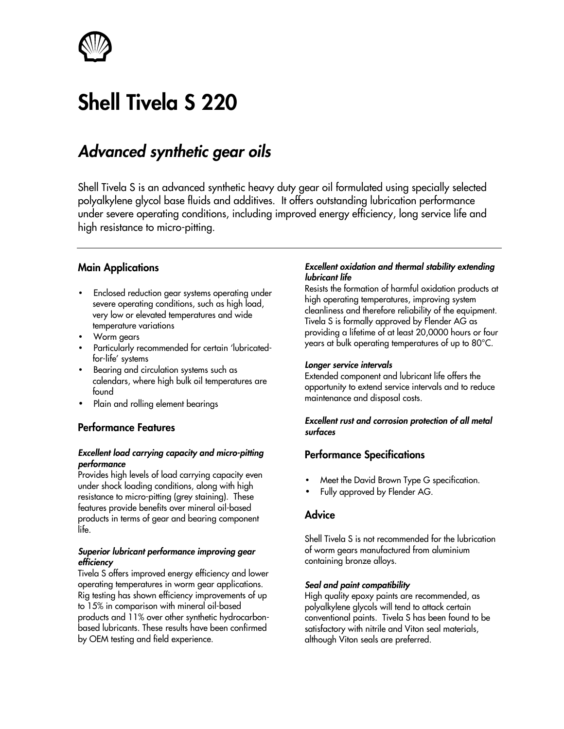

# **Shell Tivela S 220**

# *Advanced synthetic gear oils*

Shell Tivela S is an advanced synthetic heavy duty gear oil formulated using specially selected polyalkylene glycol base fluids and additives. It offers outstanding lubrication performance under severe operating conditions, including improved energy efficiency, long service life and high resistance to micro-pitting.

# **Main Applications**

- Enclosed reduction gear systems operating under severe operating conditions, such as high load, very low or elevated temperatures and wide temperature variations
- Worm gears
- Particularly recommended for certain 'lubricatedfor-life' systems
- Bearing and circulation systems such as calendars, where high bulk oil temperatures are found
- Plain and rolling element bearings

# **Performance Features**

#### *Excellent load carrying capacity and micro-pitting performance*

Provides high levels of load carrying capacity even under shock loading conditions, along with high resistance to micro-pitting (grey staining). These features provide benefits over mineral oil-based products in terms of gear and bearing component life.

#### *Superior lubricant performance improving gear efficiency*

Tivela S offers improved energy efficiency and lower operating temperatures in worm gear applications. Rig testing has shown efficiency improvements of up to 15% in comparison with mineral oil-based products and 11% over other synthetic hydrocarbonbased lubricants. These results have been confirmed by OEM testing and field experience.

#### *Excellent oxidation and thermal stability extending lubricant life*

Resists the formation of harmful oxidation products at high operating temperatures, improving system cleanliness and therefore reliability of the equipment. Tivela S is formally approved by Flender AG as providing a lifetime of at least 20,0000 hours or four years at bulk operating temperatures of up to 80°C.

#### *Longer service intervals*

Extended component and lubricant life offers the opportunity to extend service intervals and to reduce maintenance and disposal costs.

#### *Excellent rust and corrosion protection of all metal surfaces*

# **Performance Specifications**

- Meet the David Brown Type G specification.
- Fully approved by Flender AG.

# **Advice**

Shell Tivela S is not recommended for the lubrication of worm gears manufactured from aluminium containing bronze alloys.

#### *Seal and paint compatibility*

High quality epoxy paints are recommended, as polyalkylene glycols will tend to attack certain conventional paints. Tivela S has been found to be satisfactory with nitrile and Viton seal materials, although Viton seals are preferred.